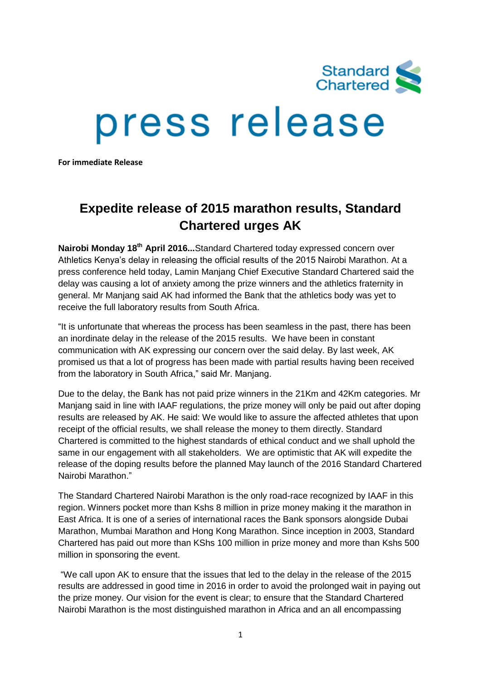

## press release

**For immediate Release**

## **Expedite release of 2015 marathon results, Standard Chartered urges AK**

**Nairobi Monday 18th April 2016...**Standard Chartered today expressed concern over Athletics Kenya's delay in releasing the official results of the 2015 Nairobi Marathon. At a press conference held today, Lamin Manjang Chief Executive Standard Chartered said the delay was causing a lot of anxiety among the prize winners and the athletics fraternity in general. Mr Manjang said AK had informed the Bank that the athletics body was yet to receive the full laboratory results from South Africa.

"It is unfortunate that whereas the process has been seamless in the past, there has been an inordinate delay in the release of the 2015 results. We have been in constant communication with AK expressing our concern over the said delay. By last week, AK promised us that a lot of progress has been made with partial results having been received from the laboratory in South Africa," said Mr. Manjang.

Due to the delay, the Bank has not paid prize winners in the 21Km and 42Km categories. Mr Manjang said in line with IAAF regulations, the prize money will only be paid out after doping results are released by AK. He said: We would like to assure the affected athletes that upon receipt of the official results, we shall release the money to them directly. Standard Chartered is committed to the highest standards of ethical conduct and we shall uphold the same in our engagement with all stakeholders. We are optimistic that AK will expedite the release of the doping results before the planned May launch of the 2016 Standard Chartered Nairobi Marathon."

The Standard Chartered Nairobi Marathon is the only road-race recognized by IAAF in this region. Winners pocket more than Kshs 8 million in prize money making it the marathon in East Africa. It is one of a series of international races the Bank sponsors alongside Dubai Marathon, Mumbai Marathon and Hong Kong Marathon. Since inception in 2003, Standard Chartered has paid out more than KShs 100 million in prize money and more than Kshs 500 million in sponsoring the event.

"We call upon AK to ensure that the issues that led to the delay in the release of the 2015 results are addressed in good time in 2016 in order to avoid the prolonged wait in paying out the prize money. Our vision for the event is clear; to ensure that the Standard Chartered Nairobi Marathon is the most distinguished marathon in Africa and an all encompassing